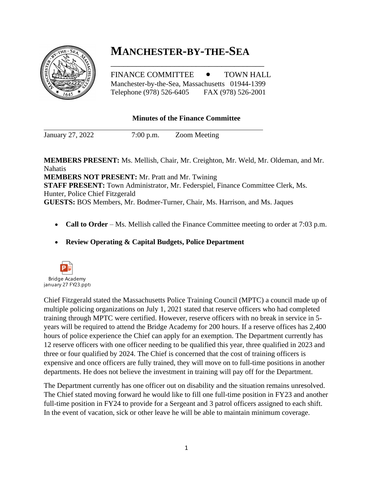# **MANCHESTER-BY-THE-SEA**

FINANCE COMMITTEE  $\bullet$  TOWN HALL Manchester-by-the-Sea, Massachusetts 01944-1399 Telephone (978) 526-6405 FAX (978) 526-2001

\_\_\_\_\_\_\_\_\_\_\_\_\_\_\_\_\_\_\_\_\_\_\_\_\_\_\_\_\_\_\_\_\_\_\_\_

### **Minutes of the Finance Committee**

January 27, 2022 7:00 p.m. Zoom Meeting

**MEMBERS PRESENT:** Ms. Mellish, Chair, Mr. Creighton, Mr. Weld, Mr. Oldeman, and Mr. Nahatis **MEMBERS NOT PRESENT:** Mr. Pratt and Mr. Twining

**STAFF PRESENT:** Town Administrator, Mr. Federspiel, Finance Committee Clerk, Ms. Hunter, Police Chief Fitzgerald **GUESTS:** BOS Members, Mr. Bodmer-Turner, Chair, Ms. Harrison, and Ms. Jaques

- **Call to Order** Ms. Mellish called the Finance Committee meeting to order at 7:03 p.m.
- **Review Operating & Capital Budgets, Police Department**



Chief Fitzgerald stated the Massachusetts Police Training Council (MPTC) a council made up of multiple policing organizations on July 1, 2021 stated that reserve officers who had completed training through MPTC were certified. However, reserve officers with no break in service in 5 years will be required to attend the Bridge Academy for 200 hours. If a reserve offices has 2,400 hours of police experience the Chief can apply for an exemption. The Department currently has 12 reserve officers with one officer needing to be qualified this year, three qualified in 2023 and three or four qualified by 2024. The Chief is concerned that the cost of training officers is expensive and once officers are fully trained, they will move on to full-time positions in another departments. He does not believe the investment in training will pay off for the Department.

The Department currently has one officer out on disability and the situation remains unresolved. The Chief stated moving forward he would like to fill one full-time position in FY23 and another full-time position in FY24 to provide for a Sergeant and 3 patrol officers assigned to each shift. In the event of vacation, sick or other leave he will be able to maintain minimum coverage.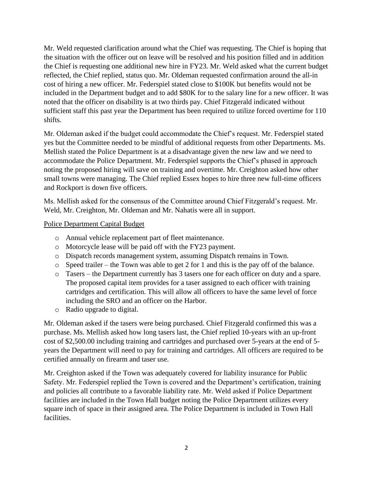Mr. Weld requested clarification around what the Chief was requesting. The Chief is hoping that the situation with the officer out on leave will be resolved and his position filled and in addition the Chief is requesting one additional new hire in FY23. Mr. Weld asked what the current budget reflected, the Chief replied, status quo. Mr. Oldeman requested confirmation around the all-in cost of hiring a new officer. Mr. Federspiel stated close to \$100K but benefits would not be included in the Department budget and to add \$80K for to the salary line for a new officer. It was noted that the officer on disability is at two thirds pay. Chief Fitzgerald indicated without sufficient staff this past year the Department has been required to utilize forced overtime for 110 shifts.

Mr. Oldeman asked if the budget could accommodate the Chief's request. Mr. Federspiel stated yes but the Committee needed to be mindful of additional requests from other Departments. Ms. Mellish stated the Police Department is at a disadvantage given the new law and we need to accommodate the Police Department. Mr. Federspiel supports the Chief's phased in approach noting the proposed hiring will save on training and overtime. Mr. Creighton asked how other small towns were managing. The Chief replied Essex hopes to hire three new full-time officers and Rockport is down five officers.

Ms. Mellish asked for the consensus of the Committee around Chief Fitzgerald's request. Mr. Weld, Mr. Creighton, Mr. Oldeman and Mr. Nahatis were all in support.

Police Department Capital Budget

- o Annual vehicle replacement part of fleet maintenance.
- o Motorcycle lease will be paid off with the FY23 payment.
- o Dispatch records management system, assuming Dispatch remains in Town.
- o Speed trailer the Town was able to get 2 for 1 and this is the pay off of the balance.
- o Tasers the Department currently has 3 tasers one for each officer on duty and a spare. The proposed capital item provides for a taser assigned to each officer with training cartridges and certification. This will allow all officers to have the same level of force including the SRO and an officer on the Harbor.
- o Radio upgrade to digital.

Mr. Oldeman asked if the tasers were being purchased. Chief Fitzgerald confirmed this was a purchase. Ms. Mellish asked how long tasers last, the Chief replied 10-years with an up-front cost of \$2,500.00 including training and cartridges and purchased over 5-years at the end of 5 years the Department will need to pay for training and cartridges. All officers are required to be certified annually on firearm and taser use.

Mr. Creighton asked if the Town was adequately covered for liability insurance for Public Safety. Mr. Federspiel replied the Town is covered and the Department's certification, training and policies all contribute to a favorable liability rate. Mr. Weld asked if Police Department facilities are included in the Town Hall budget noting the Police Department utilizes every square inch of space in their assigned area. The Police Department is included in Town Hall facilities.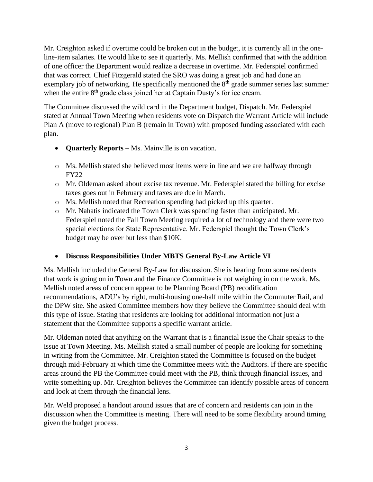Mr. Creighton asked if overtime could be broken out in the budget, it is currently all in the oneline-item salaries. He would like to see it quarterly. Ms. Mellish confirmed that with the addition of one officer the Department would realize a decrease in overtime. Mr. Federspiel confirmed that was correct. Chief Fitzgerald stated the SRO was doing a great job and had done an exemplary job of networking. He specifically mentioned the  $8<sup>th</sup>$  grade summer series last summer when the entire 8<sup>th</sup> grade class joined her at Captain Dusty's for ice cream.

The Committee discussed the wild card in the Department budget, Dispatch. Mr. Federspiel stated at Annual Town Meeting when residents vote on Dispatch the Warrant Article will include Plan A (move to regional) Plan B (remain in Town) with proposed funding associated with each plan.

- **Quarterly Reports –** Ms. Mainville is on vacation.
- o Ms. Mellish stated she believed most items were in line and we are halfway through FY22
- o Mr. Oldeman asked about excise tax revenue. Mr. Federspiel stated the billing for excise taxes goes out in February and taxes are due in March.
- o Ms. Mellish noted that Recreation spending had picked up this quarter.
- o Mr. Nahatis indicated the Town Clerk was spending faster than anticipated. Mr. Federspiel noted the Fall Town Meeting required a lot of technology and there were two special elections for State Representative. Mr. Federspiel thought the Town Clerk's budget may be over but less than \$10K.

## • **Discuss Responsibilities Under MBTS General By-Law Article VI**

Ms. Mellish included the General By-Law for discussion. She is hearing from some residents that work is going on in Town and the Finance Committee is not weighing in on the work. Ms. Mellish noted areas of concern appear to be Planning Board (PB) recodification recommendations, ADU's by right, multi-housing one-half mile within the Commuter Rail, and the DPW site. She asked Committee members how they believe the Committee should deal with this type of issue. Stating that residents are looking for additional information not just a statement that the Committee supports a specific warrant article.

Mr. Oldeman noted that anything on the Warrant that is a financial issue the Chair speaks to the issue at Town Meeting. Ms. Mellish stated a small number of people are looking for something in writing from the Committee. Mr. Creighton stated the Committee is focused on the budget through mid-February at which time the Committee meets with the Auditors. If there are specific areas around the PB the Committee could meet with the PB, think through financial issues, and write something up. Mr. Creighton believes the Committee can identify possible areas of concern and look at them through the financial lens.

Mr. Weld proposed a handout around issues that are of concern and residents can join in the discussion when the Committee is meeting. There will need to be some flexibility around timing given the budget process.